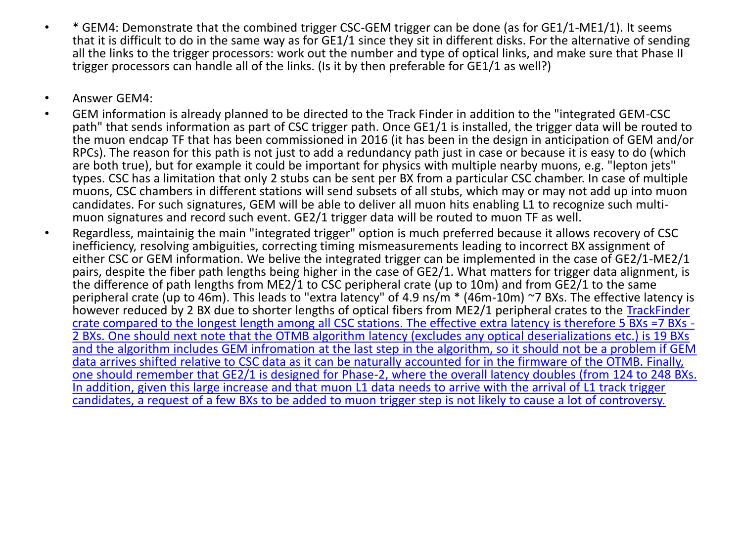- \* GEM4: Demonstrate that the combined trigger CSC-GEM trigger can be done (as for GE1/1-ME1/1). It seems that it is difficult to do in the same way as for GE1/1 since they sit in different disks. For the alternative of sending all the links to the trigger processors: work out the number and type of optical links, and make sure that Phase II trigger processors can handle all of the links. (Is it by then preferable for GE1/1 as well?)
- Answer GEM4:
- GEM information is already planned to be directed to the Track Finder in addition to the "integrated GEM-CSC path" that sends information as part of CSC trigger path. Once GE1/1 is installed, the trigger data will be routed to the muon endcap TF that has been commissioned in 2016 (it has been in the design in anticipation of GEM and/or RPCs). The reason for this path is not just to add a redundancy path just in case or because it is easy to do (which are both true), but for example it could be important for physics with multiple nearby muons, e.g. "lepton jets" types. CSC has a limitation that only 2 stubs can be sent per BX from a particular CSC chamber. In case of multiple muons, CSC chambers in different stations will send subsets of all stubs, which may or may not add up into muon candidates. For such signatures, GEM will be able to deliver all muon hits enabling L1 to recognize such multimuon signatures and record such event. GE2/1 trigger data will be routed to muon TF as well.
- Regardless, maintainig the main "integrated trigger" option is much preferred because it allows recovery of CSC inefficiency, resolving ambiguities, correcting timing mismeasurements leading to incorrect BX assignment of either CSC or GEM information. We belive the integrated trigger can be implemented in the case of GE2/1-ME2/1 pairs, despite the fiber path lengths being higher in the case of GE2/1. What matters for trigger data alignment, is the difference of path lengths from ME2/1 to CSC peripheral crate (up to 10m) and from  $GE2/1$  to the same peripheral crate (up to 46m). This leads to "extra latency" of 4.9 ns/m \* (46m-10m) ~7 BXs. The effective latency is however reduced by 2 BX due to shorter lengths of optical fibers from ME2/1 peripheral crates to the TrackFinder crate compared to the longest length among all CSC stations. The effective extra latency is therefore 5 BXs =7 BXs - 2 BXs. One should next note that the OTMB algorithm latency (excludes any optical deserializations etc.) is 19 BXs [and the algorithm includes GEM infromation at the last step in the algorithm, so it should not be a problem if GEM](https://twiki.cern.ch/twiki/bin/edit/CMS/TrackFinder?topicparent=CMS.GE21CRFeedback;nowysiwyg=1)  data arrives shifted relative to CSC data as it can be naturally accounted for in the firmware of the OTMB. Finally, one should remember that GE2/1 is designed for Phase-2, where the overall latency doubles (from 124 to 248 BXs. In addition, given this large increase and that muon L1 data needs to arrive with the arrival of L1 track trigger candidates, a request of a few BXs to be added to muon trigger step is not likely to cause a lot of controversy.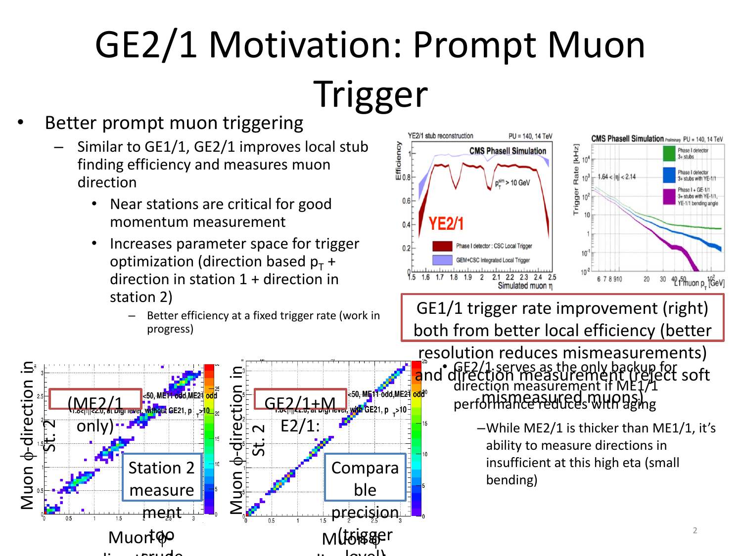## GE2/1 Motivation: Prompt Muon Trigger

## Better prompt muon triggering

- Similar to GE1/1, GE2/1 improves local stub finding efficiency and measures muon direction
	- Near stations are critical for good momentum measurement
	- Increases parameter space for trigger optimization (direction based  $p_T$  + direction in station 1 + direction in station 2)
		- Better efficiency at a fixed trigger rate (work in progress)





GE1/1 trigger rate improvement (right) both from better local efficiency (better

• GE2/1 serves as the only backup for direction measurement if ME1/1 an eenommeasurement in MEST<br>performance reduces with aging resolution reduces mismeasurements) and direction measurement (reject soft

> –While ME2/1 is thicker than ME1/1, it's ability to measure directions in insufficient at this high eta (small bending)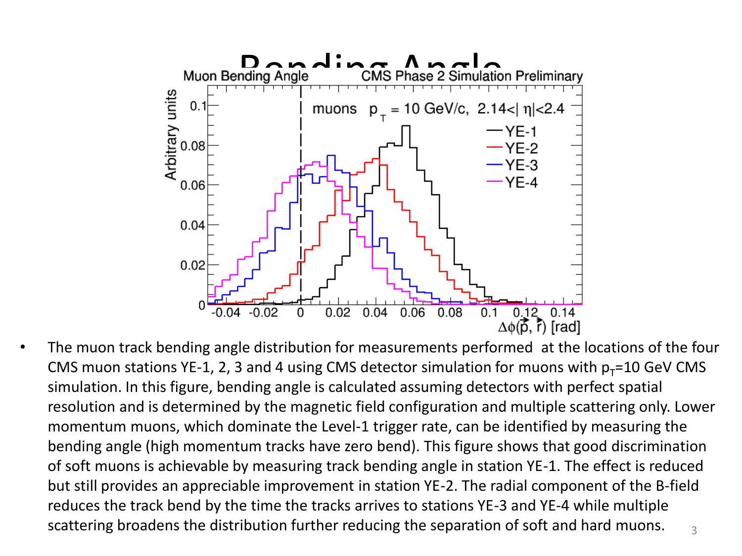

• The muon track bending angle distribution for measurements performed at the locations of the four CMS muon stations YE-1, 2, 3 and 4 using CMS detector simulation for muons with  $p_T=10$  GeV CMS simulation. In this figure, bending angle is calculated assuming detectors with perfect spatial resolution and is determined by the magnetic field configuration and multiple scattering only. Lower momentum muons, which dominate the Level-1 trigger rate, can be identified by measuring the bending angle (high momentum tracks have zero bend). This figure shows that good discrimination of soft muons is achievable by measuring track bending angle in station YE-1. The effect is reduced but still provides an appreciable improvement in station YE-2. The radial component of the B-field reduces the track bend by the time the tracks arrives to stations YE-3 and YE-4 while multiple scattering broadens the distribution further reducing the separation of soft and hard muons.  $\frac{3}{3}$